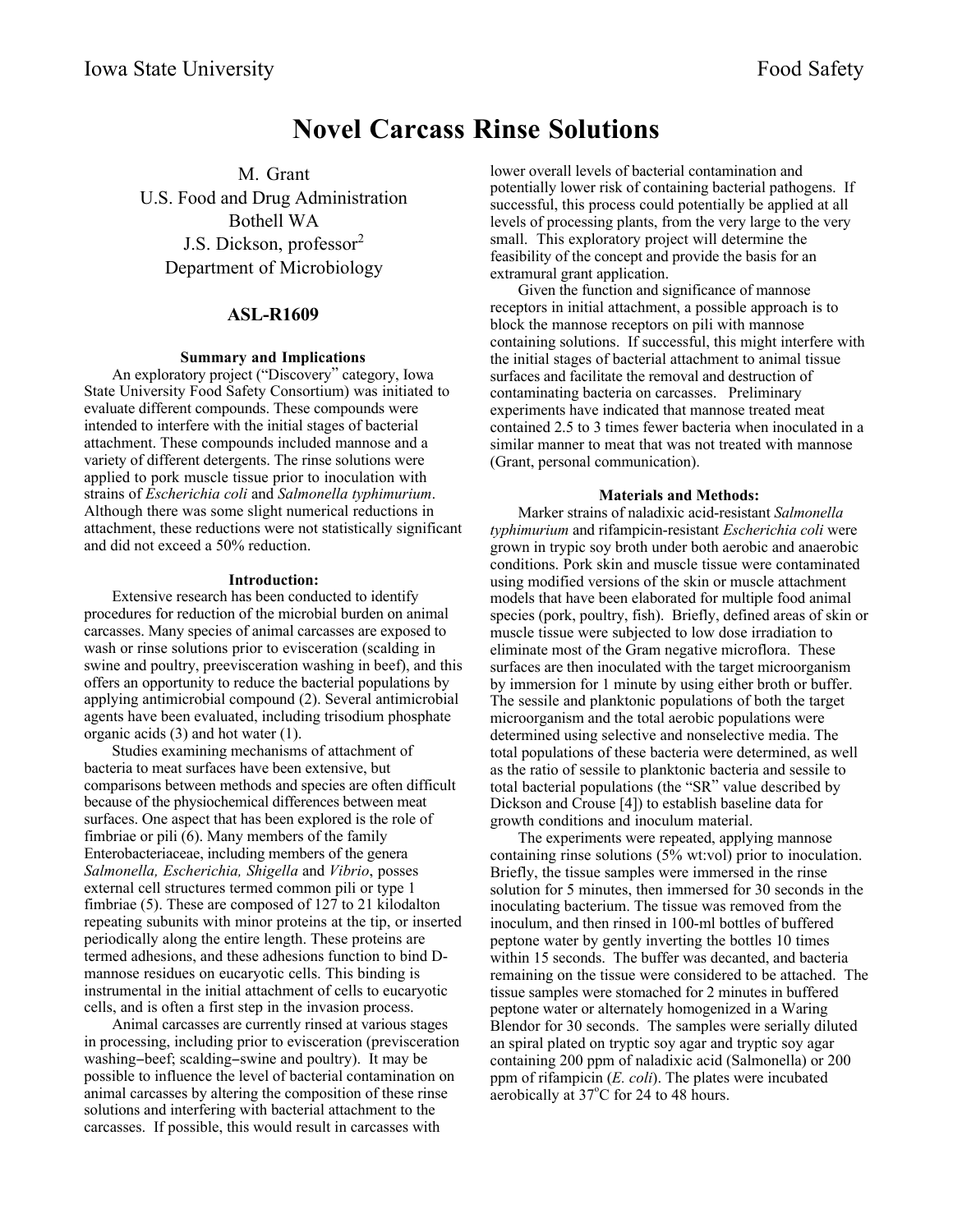# **Novel Carcass Rinse Solutions**

M. Grant U.S. Food and Drug Administration Bothell WA J.S. Dickson, professor<sup>2</sup> Department of Microbiology

## **ASL-R1609**

## **Summary and Implications**

An exploratory project ("Discovery" category, Iowa State University Food Safety Consortium) was initiated to evaluate different compounds. These compounds were intended to interfere with the initial stages of bacterial attachment. These compounds included mannose and a variety of different detergents. The rinse solutions were applied to pork muscle tissue prior to inoculation with strains of *Escherichia coli* and *Salmonella typhimurium*. Although there was some slight numerical reductions in attachment, these reductions were not statistically significant and did not exceed a 50% reduction.

#### **Introduction:**

Extensive research has been conducted to identify procedures for reduction of the microbial burden on animal carcasses. Many species of animal carcasses are exposed to wash or rinse solutions prior to evisceration (scalding in swine and poultry, preevisceration washing in beef), and this offers an opportunity to reduce the bacterial populations by applying antimicrobial compound (2). Several antimicrobial agents have been evaluated, including trisodium phosphate organic acids (3) and hot water (1).

Studies examining mechanisms of attachment of bacteria to meat surfaces have been extensive, but comparisons between methods and species are often difficult because of the physiochemical differences between meat surfaces. One aspect that has been explored is the role of fimbriae or pili (6). Many members of the family Enterobacteriaceae, including members of the genera *Salmonella, Escherichia, Shigella* and *Vibrio*, posses external cell structures termed common pili or type 1 fimbriae (5). These are composed of 127 to 21 kilodalton repeating subunits with minor proteins at the tip, or inserted periodically along the entire length. These proteins are termed adhesions, and these adhesions function to bind Dmannose residues on eucaryotic cells. This binding is instrumental in the initial attachment of cells to eucaryotic cells, and is often a first step in the invasion process.

Animal carcasses are currently rinsed at various stages in processing, including prior to evisceration (previsceration washing-beef; scalding-swine and poultry). It may be possible to influence the level of bacterial contamination on animal carcasses by altering the composition of these rinse solutions and interfering with bacterial attachment to the carcasses. If possible, this would result in carcasses with

lower overall levels of bacterial contamination and potentially lower risk of containing bacterial pathogens. If successful, this process could potentially be applied at all levels of processing plants, from the very large to the very small. This exploratory project will determine the feasibility of the concept and provide the basis for an extramural grant application.

Given the function and significance of mannose receptors in initial attachment, a possible approach is to block the mannose receptors on pili with mannose containing solutions. If successful, this might interfere with the initial stages of bacterial attachment to animal tissue surfaces and facilitate the removal and destruction of contaminating bacteria on carcasses. Preliminary experiments have indicated that mannose treated meat contained 2.5 to 3 times fewer bacteria when inoculated in a similar manner to meat that was not treated with mannose (Grant, personal communication).

### **Materials and Methods:**

Marker strains of naladixic acid-resistant *Salmonella typhimurium* and rifampicin-resistant *Escherichia coli* were grown in trypic soy broth under both aerobic and anaerobic conditions. Pork skin and muscle tissue were contaminated using modified versions of the skin or muscle attachment models that have been elaborated for multiple food animal species (pork, poultry, fish). Briefly, defined areas of skin or muscle tissue were subjected to low dose irradiation to eliminate most of the Gram negative microflora. These surfaces are then inoculated with the target microorganism by immersion for 1 minute by using either broth or buffer. The sessile and planktonic populations of both the target microorganism and the total aerobic populations were determined using selective and nonselective media. The total populations of these bacteria were determined, as well as the ratio of sessile to planktonic bacteria and sessile to total bacterial populations (the "SR" value described by Dickson and Crouse [4]) to establish baseline data for growth conditions and inoculum material.

The experiments were repeated, applying mannose containing rinse solutions (5% wt:vol) prior to inoculation. Briefly, the tissue samples were immersed in the rinse solution for 5 minutes, then immersed for 30 seconds in the inoculating bacterium. The tissue was removed from the inoculum, and then rinsed in 100-ml bottles of buffered peptone water by gently inverting the bottles 10 times within 15 seconds. The buffer was decanted, and bacteria remaining on the tissue were considered to be attached. The tissue samples were stomached for 2 minutes in buffered peptone water or alternately homogenized in a Waring Blendor for 30 seconds. The samples were serially diluted an spiral plated on tryptic soy agar and tryptic soy agar containing 200 ppm of naladixic acid (Salmonella) or 200 ppm of rifampicin (*E. coli*). The plates were incubated aerobically at  $37^{\circ}$ C for 24 to 48 hours.